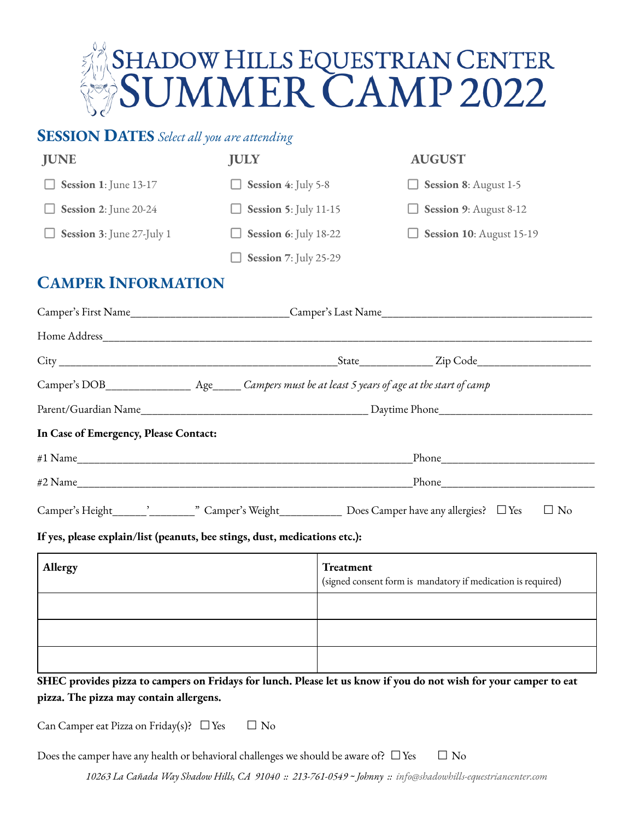

| <b>JUNE</b>                                                                                              | <b>JULY</b>                  |                                                                           | <b>AUGUST</b>            |  |  |  |
|----------------------------------------------------------------------------------------------------------|------------------------------|---------------------------------------------------------------------------|--------------------------|--|--|--|
| Session 1: June 13-17                                                                                    | Session 4: July 5-8          |                                                                           | Session 8: August 1-5    |  |  |  |
| Session 2: June 20-24                                                                                    | <b>Session 5: July 11-15</b> |                                                                           | Session 9: August 8-12   |  |  |  |
| Session 3: June 27-July 1                                                                                | Session 6: July 18-22        |                                                                           | Session 10: August 15-19 |  |  |  |
|                                                                                                          | Session 7: July 25-29        |                                                                           |                          |  |  |  |
| <b>CAMPER INFORMATION</b>                                                                                |                              |                                                                           |                          |  |  |  |
|                                                                                                          |                              |                                                                           |                          |  |  |  |
|                                                                                                          |                              |                                                                           |                          |  |  |  |
|                                                                                                          |                              |                                                                           |                          |  |  |  |
| Camper's DOB______________________ Age______Campers must be at least 5 years of age at the start of camp |                              |                                                                           |                          |  |  |  |
|                                                                                                          |                              |                                                                           |                          |  |  |  |
| In Case of Emergency, Please Contact:                                                                    |                              |                                                                           |                          |  |  |  |
|                                                                                                          |                              |                                                                           |                          |  |  |  |
|                                                                                                          | #2 Name                      |                                                                           |                          |  |  |  |
|                                                                                                          |                              |                                                                           | $\Box$ No                |  |  |  |
| If yes, please explain/list (peanuts, bee stings, dust, medications etc.):                               |                              |                                                                           |                          |  |  |  |
| Allergy                                                                                                  |                              | Treatment<br>(signed consent form is mandatory if medication is required) |                          |  |  |  |

 **SHEC provides pizza to campers on Fridays for lunch. Please let us know if you do not wish for your camper to eat pizza. The pizza may contain allergens.** 

Can Camper eat Pizza on Friday(s)?  $\Box$  Yes  $\Box$  No

Does the camper have any health or behavioral challenges we should be aware of?  $\Box$  Yes  $\Box$  No

 *10263 La Cañada Way Shadow Hills, CA 91040 :: 213-761-0549 ~ Johnny :: info@shadowhills-equestriancenter.com*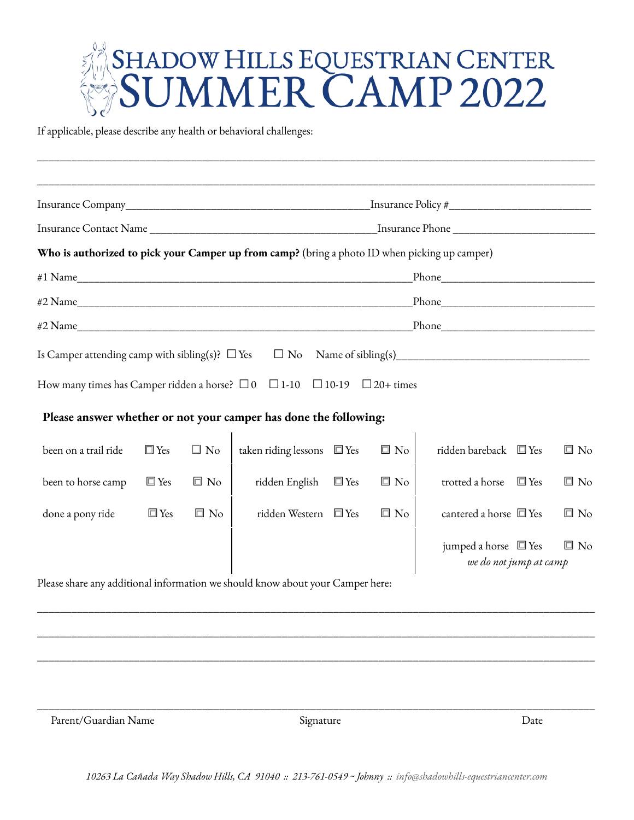## SHADOW HILLS EQUESTRIAN CENTER<br>SUMMER CAMP 2022

\_\_\_\_\_\_\_\_\_\_\_\_\_\_\_\_\_\_\_\_\_\_\_\_\_\_\_\_\_\_\_\_\_\_\_\_\_\_\_\_\_\_\_\_\_\_\_\_\_\_\_\_\_\_\_\_\_\_\_\_\_\_\_\_\_\_\_\_\_\_\_\_\_\_\_\_\_\_\_\_\_\_\_\_\_\_\_\_\_\_\_\_\_\_\_\_\_\_

If applicable, please describe any health or behavioral challenges:

| Who is authorized to pick your Camper up from camp? (bring a photo ID when picking up camper) |                                                                                                               |              |                                                                  |  |           |                                                        |              |
|-----------------------------------------------------------------------------------------------|---------------------------------------------------------------------------------------------------------------|--------------|------------------------------------------------------------------|--|-----------|--------------------------------------------------------|--------------|
|                                                                                               | Phone 2008 and 2008 and 2008 and 2008 and 2008 and 2008 and 2008 and 2008 and 2008 and 2008 and 2008 and 2008 |              |                                                                  |  |           |                                                        |              |
|                                                                                               |                                                                                                               |              | #2 Name                                                          |  |           |                                                        |              |
|                                                                                               |                                                                                                               |              | #2 Name                                                          |  |           |                                                        |              |
|                                                                                               |                                                                                                               |              |                                                                  |  |           |                                                        |              |
| How many times has Camper ridden a horse? $\Box$ 0 $\Box$ 1-10 $\Box$ 10-19 $\Box$ 20+ times  |                                                                                                               |              |                                                                  |  |           |                                                        |              |
|                                                                                               |                                                                                                               |              | Please answer whether or not your camper has done the following: |  |           |                                                        |              |
| been on a trail ride                                                                          | $\Box$ Yes                                                                                                    | $\Box$ No    | taken riding lessons $\square$ Yes                               |  | $\Box$ No | ridden bareback 回 Yes                                  | $\Box$ No    |
| been to horse camp                                                                            | $\square$ Yes                                                                                                 | $\square$ No | ridden English $\square$ Yes                                     |  | $\Box$ No | trotted a horse<br>$\square$ Yes                       | $\square$ No |
| done a pony ride                                                                              | $\square$ Yes                                                                                                 | $\Box$ No    | ridden Western □ Yes                                             |  | $\Box$ No | cantered a horse $\square$ Yes                         | $\Box$ No    |
| Please share any additional information we should know about your Camper here:                |                                                                                                               |              |                                                                  |  |           | jumped a horse $\square$ Yes<br>we do not jump at camp | $\square$ No |

Please share any additional information we should know about your Camper here:

Parent/Guardian Name Date Signature Signature Date

\_\_\_\_\_\_\_\_\_\_\_\_\_\_\_\_\_\_\_\_\_\_\_\_\_\_\_\_\_\_\_\_\_\_\_\_\_\_\_\_\_\_\_\_\_\_\_\_\_\_\_\_\_\_\_\_\_\_\_\_\_\_\_\_\_\_\_\_\_\_\_\_\_\_\_\_\_\_\_\_\_\_\_\_\_\_\_\_\_\_\_\_\_\_\_\_\_\_

\_\_\_\_\_\_\_\_\_\_\_\_\_\_\_\_\_\_\_\_\_\_\_\_\_\_\_\_\_\_\_\_\_\_\_\_\_\_\_\_\_\_\_\_\_\_\_\_\_\_\_\_\_\_\_\_\_\_\_\_\_\_\_\_\_\_\_\_\_\_\_\_\_\_\_\_\_\_\_\_\_\_\_\_\_\_\_\_\_\_\_\_\_\_\_\_\_\_

\_\_\_\_\_\_\_\_\_\_\_\_\_\_\_\_\_\_\_\_\_\_\_\_\_\_\_\_\_\_\_\_\_\_\_\_\_\_\_\_\_\_\_\_\_\_\_\_\_\_\_\_\_\_\_\_\_\_\_\_\_\_\_\_\_\_\_\_\_\_\_\_\_\_\_\_\_\_\_\_\_\_\_\_\_\_\_\_\_\_\_\_\_\_\_\_\_\_

\_\_\_\_\_\_\_\_\_\_\_\_\_\_\_\_\_\_\_\_\_\_\_\_\_\_\_\_\_\_\_\_\_\_\_\_\_\_\_\_\_\_\_\_\_\_\_\_\_\_\_\_\_\_\_\_\_\_\_\_\_\_\_\_\_\_\_\_\_\_\_\_\_\_\_\_\_\_\_\_\_\_\_\_\_\_\_\_\_\_\_\_\_\_\_\_\_\_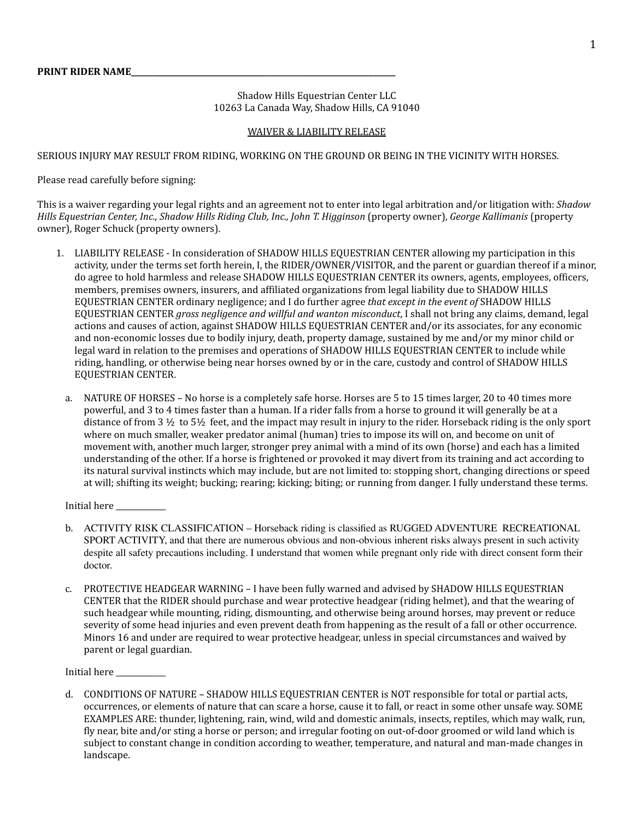Shadow Hills Equestrian Center LLC 10263 La Canada Way, Shadow Hills, CA 91040

## WAIVER & LIABILITY RELEASE

SERIOUS INJURY MAY RESULT FROM RIDING, WORKING ON THE GROUND OR BEING IN THE VICINITY WITH HORSES.

Please read carefully before signing:

This is a waiver regarding your legal rights and an agreement not to enter into legal arbitration and/or litigation with: *Shadow Hills Equestrian Center, Inc., Shadow Hills Riding Club, Inc., John T. Higginson* (property owner), *George Kallimanis* (property owner), Roger Schuck (property owners).

- 1. LIABILITY RELEASE In consideration of SHADOW HILLS EQUESTRIAN CENTER allowing my participation in this activity, under the terms set forth herein, I, the RIDER/OWNER/VISITOR, and the parent or guardian thereof if a minor, do agree to hold harmless and release SHADOW HILLS EQUESTRIAN CENTER its owners, agents, employees, officers, members, premises owners, insurers, and affiliated organizations from legal liability due to SHADOW HILLS EQUESTRIAN CENTER ordinary negligence; and I do further agree *that except in the event of* SHADOW HILLS EQUESTRIAN CENTER *gross negligence and willful and wanton misconduct*, I shall not bring any claims, demand, legal actions and causes of action, against SHADOW HILLS EQUESTRIAN CENTER and/or its associates, for any economic and non-economic losses due to bodily injury, death, property damage, sustained by me and/or my minor child or legal ward in relation to the premises and operations of SHADOW HILLS EQUESTRIAN CENTER to include while riding, handling, or otherwise being near horses owned by or in the care, custody and control of SHADOW HILLS EQUESTRIAN CENTER.
	- a. NATURE OF HORSES No horse is a completely safe horse. Horses are 5 to 15 times larger, 20 to 40 times more powerful, and 3 to 4 times faster than a human. If a rider falls from a horse to ground it will generally be at a distance of from 3 ½ to 5½ feet, and the impact may result in injury to the rider. Horseback riding is the only sport where on much smaller, weaker predator animal (human) tries to impose its will on, and become on unit of movement with, another much larger, stronger prey animal with a mind of its own (horse) and each has a limited understanding of the other. If a horse is frightened or provoked it may divert from its training and act according to its natural survival instincts which may include, but are not limited to: stopping short, changing directions or speed at will; shifting its weight; bucking; rearing; kicking; biting; or running from danger. I fully understand these terms.

Initial here \_\_\_\_\_\_\_\_\_\_\_\_\_

- b. ACTIVITY RISK CLASSIFICATION Horseback riding is classified as RUGGED ADVENTURE RECREATIONAL SPORT ACTIVITY, and that there are numerous obvious and non-obvious inherent risks always present in such activity despite all safety precautions including. I understand that women while pregnant only ride with direct consent form their doctor.
- c. PROTECTIVE HEADGEAR WARNING I have been fully warned and advised by SHADOW HILLS EQUESTRIAN CENTER that the RIDER should purchase and wear protective headgear (riding helmet), and that the wearing of such headgear while mounting, riding, dismounting, and otherwise being around horses, may prevent or reduce severity of some head injuries and even prevent death from happening as the result of a fall or other occurrence. Minors 16 and under are required to wear protective headgear, unless in special circumstances and waived by parent or legal guardian.

Initial here

d. CONDITIONS OF NATURE – SHADOW HILLS EQUESTRIAN CENTER is NOT responsible for total or partial acts, occurrences, or elements of nature that can scare a horse, cause it to fall, or react in some other unsafe way. SOME EXAMPLES ARE: thunder, lightening, rain, wind, wild and domestic animals, insects, reptiles, which may walk, run, fly near, bite and/or sting a horse or person; and irregular footing on out-of-door groomed or wild land which is subject to constant change in condition according to weather, temperature, and natural and man-made changes in landscape.